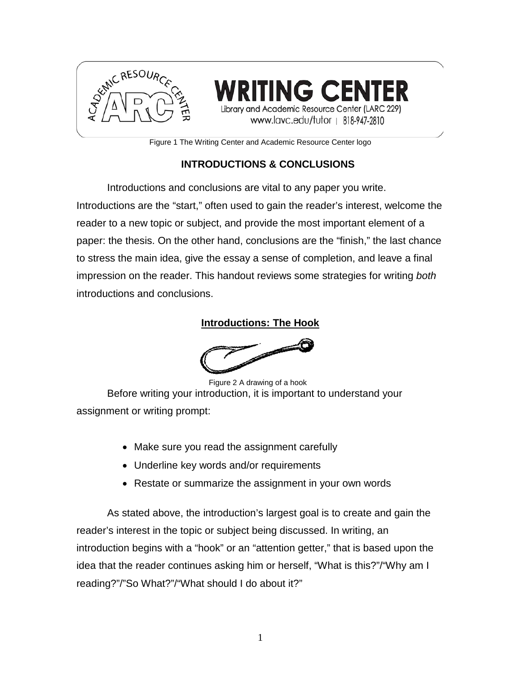

**NG CENT** Library and Academic Resource Center (LARC 229) www.lavc.edu/tutor | 818-947-2810

Figure 1 The Writing Center and Academic Resource Center logo

# **INTRODUCTIONS & CONCLUSIONS**

Introductions and conclusions are vital to any paper you write. Introductions are the "start," often used to gain the reader's interest, welcome the reader to a new topic or subject, and provide the most important element of a paper: the thesis. On the other hand, conclusions are the "finish," the last chance to stress the main idea, give the essay a sense of completion, and leave a final impression on the reader. This handout reviews some strategies for writing *both* introductions and conclusions.

#### **Introductions: The Hook**



Figure 2 A drawing of a hook

Before writing your introduction, it is important to understand your assignment or writing prompt:

- Make sure you read the assignment carefully
- Underline key words and/or requirements
- Restate or summarize the assignment in your own words

As stated above, the introduction's largest goal is to create and gain the reader's interest in the topic or subject being discussed. In writing, an introduction begins with a "hook" or an "attention getter," that is based upon the idea that the reader continues asking him or herself, "What is this?"/"Why am I reading?"/"So What?"/"What should I do about it?"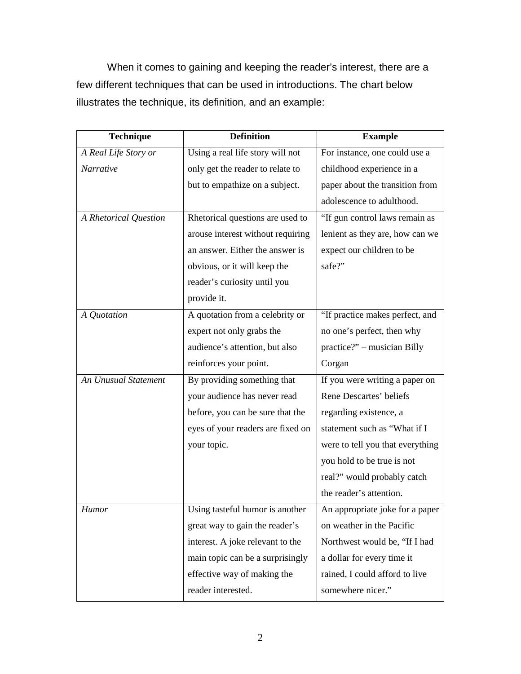When it comes to gaining and keeping the reader's interest, there are a few different techniques that can be used in introductions. The chart below illustrates the technique, its definition, and an example:

| <b>Technique</b>      | <b>Definition</b>                 | <b>Example</b>                   |
|-----------------------|-----------------------------------|----------------------------------|
| A Real Life Story or  | Using a real life story will not  | For instance, one could use a    |
| Narrative             | only get the reader to relate to  | childhood experience in a        |
|                       | but to empathize on a subject.    | paper about the transition from  |
|                       |                                   | adolescence to adulthood.        |
| A Rhetorical Question | Rhetorical questions are used to  | "If gun control laws remain as   |
|                       | arouse interest without requiring | lenient as they are, how can we  |
|                       | an answer. Either the answer is   | expect our children to be        |
|                       | obvious, or it will keep the      | safe?"                           |
|                       | reader's curiosity until you      |                                  |
|                       | provide it.                       |                                  |
| A Quotation           | A quotation from a celebrity or   | "If practice makes perfect, and  |
|                       | expert not only grabs the         | no one's perfect, then why       |
|                       | audience's attention, but also    | practice?" – musician Billy      |
|                       | reinforces your point.            | Corgan                           |
| An Unusual Statement  | By providing something that       | If you were writing a paper on   |
|                       | your audience has never read      | Rene Descartes' beliefs          |
|                       | before, you can be sure that the  | regarding existence, a           |
|                       | eyes of your readers are fixed on | statement such as "What if I     |
|                       | your topic.                       | were to tell you that everything |
|                       |                                   | you hold to be true is not       |
|                       |                                   | real?" would probably catch      |
|                       |                                   | the reader's attention.          |
| <b>Humor</b>          | Using tasteful humor is another   | An appropriate joke for a paper  |
|                       | great way to gain the reader's    | on weather in the Pacific        |
|                       | interest. A joke relevant to the  | Northwest would be, "If I had    |
|                       | main topic can be a surprisingly  | a dollar for every time it       |
|                       | effective way of making the       | rained, I could afford to live   |
|                       | reader interested.                | somewhere nicer."                |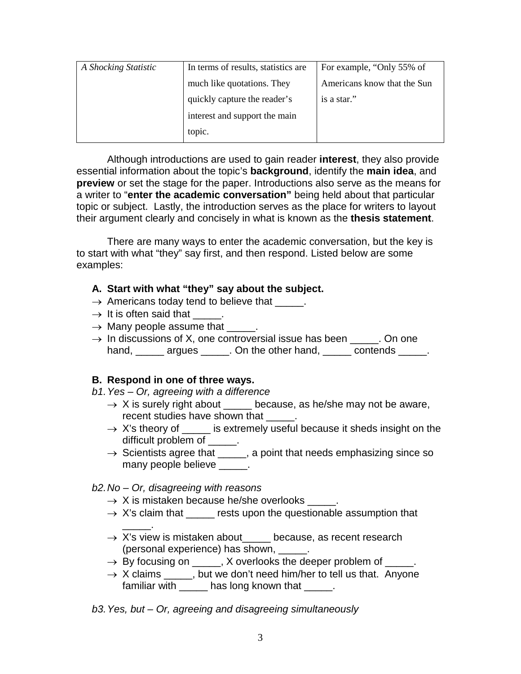| A Shocking Statistic | In terms of results, statistics are | For example, "Only 55% of   |
|----------------------|-------------------------------------|-----------------------------|
|                      | much like quotations. They          | Americans know that the Sun |
|                      | quickly capture the reader's        | is a star."                 |
|                      | interest and support the main       |                             |
|                      | topic.                              |                             |

Although introductions are used to gain reader **interest**, they also provide essential information about the topic's **background**, identify the **main idea**, and **preview** or set the stage for the paper. Introductions also serve as the means for a writer to "**enter the academic conversation"** being held about that particular topic or subject. Lastly, the introduction serves as the place for writers to layout their argument clearly and concisely in what is known as the **thesis statement**.

There are many ways to enter the academic conversation, but the key is to start with what "they" say first, and then respond. Listed below are some examples:

### **A. Start with what "they" say about the subject.**

- $\rightarrow$  Americans today tend to believe that \_\_\_\_\_.
- $\rightarrow$  It is often said that  $\rightarrow$
- $\rightarrow$  Many people assume that \_\_\_\_\_.
- $\rightarrow$  In discussions of X, one controversial issue has been  $\rightarrow$  . On one hand, \_\_\_\_\_ argues \_\_\_\_\_. On the other hand, \_\_\_\_\_ contends \_\_\_\_\_.

#### **B. Respond in one of three ways.**

*b1.Yes – Or, agreeing with a difference*

- $\rightarrow$  X is surely right about \_\_\_\_\_ because, as he/she may not be aware, recent studies have shown that \_\_\_\_\_.
- $\rightarrow$  X's theory of \_\_\_\_\_ is extremely useful because it sheds insight on the difficult problem of  $\qquad$ .
- $\rightarrow$  Scientists agree that \_\_\_\_, a point that needs emphasizing since so many people believe and the set of the many people believe

### *b2.No – Or, disagreeing with reasons*

- $\rightarrow$  X is mistaken because he/she overlooks \_\_\_\_.
- $\rightarrow$  X's claim that \_\_\_\_\_ rests upon the questionable assumption that
- \_\_\_\_\_.  $\rightarrow$  X's view is mistaken about because, as recent research (personal experience) has shown, \_\_\_\_\_.
- → By focusing on \_\_\_\_\_, X overlooks the deeper problem of \_\_\_\_\_.
- $\rightarrow$  X claims \_\_\_\_, but we don't need him/her to tell us that. Anyone familiar with \_\_\_\_\_\_ has long known that \_\_\_\_\_.

*b3.Yes, but – Or, agreeing and disagreeing simultaneously*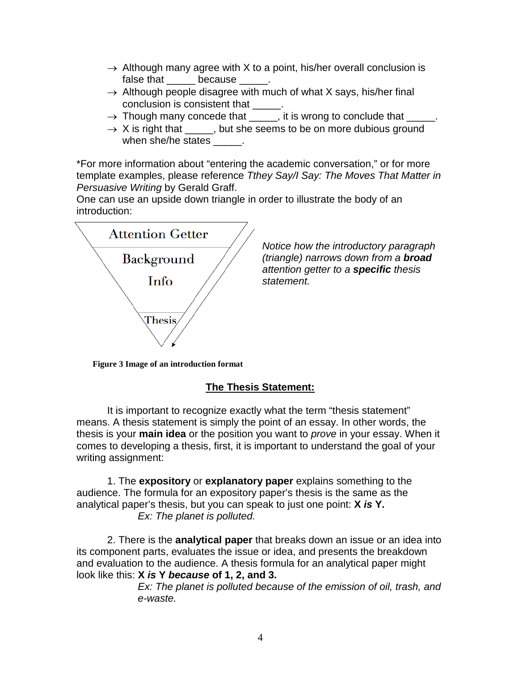- $\rightarrow$  Although many agree with X to a point, his/her overall conclusion is false that \_\_\_\_\_\_ because \_\_\_\_\_.
- $\rightarrow$  Although people disagree with much of what X says, his/her final conclusion is consistent that
- → Though many concede that \_\_\_\_\_, it is wrong to conclude that \_\_\_\_\_.
- $\rightarrow$  X is right that \_\_\_\_\_, but she seems to be on more dubious ground when she/he states  $\qquad \qquad$ .

\*For more information about "entering the academic conversation," or for more template examples, please reference *Tthey Say/I Say: The Moves That Matter in Persuasive Writing* by Gerald Graff.

One can use an upside down triangle in order to illustrate the body of an introduction:



*Notice how the introductory paragraph (triangle) narrows down from a broad attention getter to a specific thesis statement.*

**Figure 3 Image of an introduction format**

### **The Thesis Statement:**

It is important to recognize exactly what the term "thesis statement" means. A thesis statement is simply the point of an essay. In other words, the thesis is your **main idea** or the position you want to *prove* in your essay. When it comes to developing a thesis, first, it is important to understand the goal of your writing assignment:

1. The **expository** or **explanatory paper** explains something to the audience. The formula for an expository paper's thesis is the same as the analytical paper's thesis, but you can speak to just one point: **X** *is* **Y.** *Ex: The planet is polluted.*

2. There is the **analytical paper** that breaks down an issue or an idea into its component parts, evaluates the issue or idea, and presents the breakdown and evaluation to the audience. A thesis formula for an analytical paper might look like this: **X** *is* **Y** *because* **of 1, 2, and 3.**

> *Ex: The planet is polluted because of the emission of oil, trash, and e-waste.*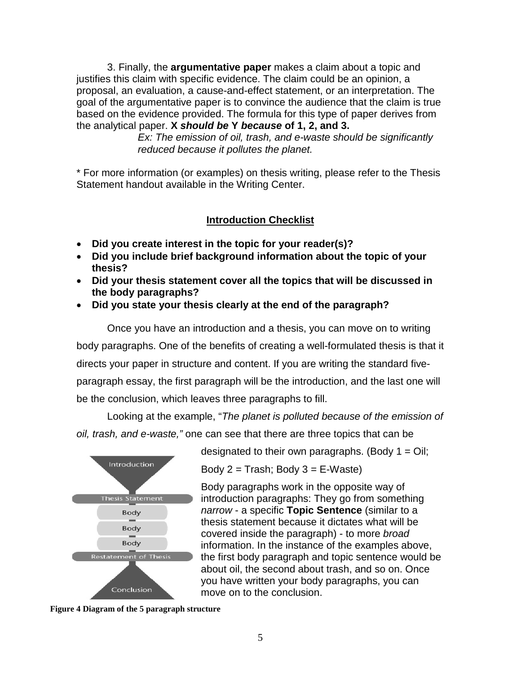3. Finally, the **argumentative paper** makes a claim about a topic and justifies this claim with specific evidence. The claim could be an opinion, a proposal, an evaluation, a cause-and-effect statement, or an interpretation. The goal of the argumentative paper is to convince the audience that the claim is true based on the evidence provided. The formula for this type of paper derives from the analytical paper. **X** *should be* **Y** *because* **of 1, 2, and 3.**

> *Ex: The emission of oil, trash, and e-waste should be significantly reduced because it pollutes the planet.*

\* For more information (or examples) on thesis writing, please refer to the Thesis Statement handout available in the Writing Center.

## **Introduction Checklist**

- **Did you create interest in the topic for your reader(s)?**
- **Did you include brief background information about the topic of your thesis?**
- **Did your thesis statement cover all the topics that will be discussed in the body paragraphs?**
- **Did you state your thesis clearly at the end of the paragraph?**

Once you have an introduction and a thesis, you can move on to writing body paragraphs. One of the benefits of creating a well-formulated thesis is that it directs your paper in structure and content. If you are writing the standard fiveparagraph essay, the first paragraph will be the introduction, and the last one will be the conclusion, which leaves three paragraphs to fill.

Looking at the example, "*The planet is polluted because of the emission of oil, trash, and e-waste,"* one can see that there are three topics that can be



designated to their own paragraphs. (Body  $1 = \text{Oil}$ ;

Body  $2 =$  Trash; Body  $3 = E-Waste$ )

Body paragraphs work in the opposite way of introduction paragraphs: They go from something *narrow* - a specific **Topic Sentence** (similar to a thesis statement because it dictates what will be covered inside the paragraph) - to more *broad* information. In the instance of the examples above, the first body paragraph and topic sentence would be about oil, the second about trash, and so on. Once you have written your body paragraphs, you can move on to the conclusion.

**Figure 4 Diagram of the 5 paragraph structure**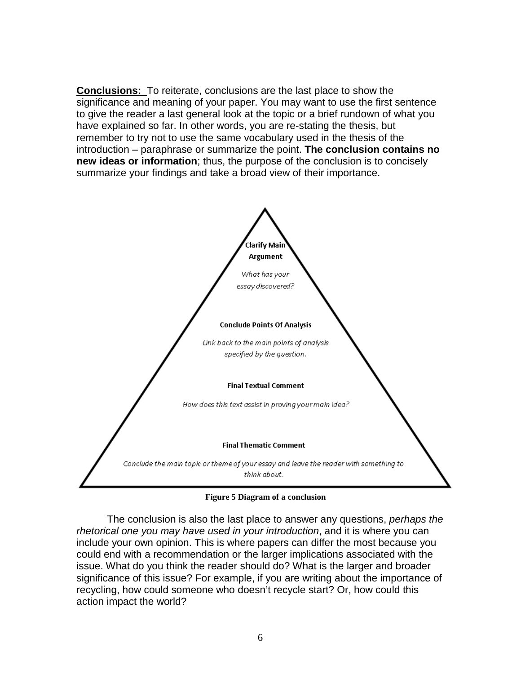**Conclusions:** To reiterate, conclusions are the last place to show the significance and meaning of your paper. You may want to use the first sentence to give the reader a last general look at the topic or a brief rundown of what you have explained so far. In other words, you are re-stating the thesis, but remember to try not to use the same vocabulary used in the thesis of the introduction – paraphrase or summarize the point. **The conclusion contains no new ideas or information**; thus, the purpose of the conclusion is to concisely summarize your findings and take a broad view of their importance.



**Figure 5 Diagram of a conclusion**

The conclusion is also the last place to answer any questions, *perhaps the rhetorical one you may have used in your introduction*, and it is where you can include your own opinion. This is where papers can differ the most because you could end with a recommendation or the larger implications associated with the issue. What do you think the reader should do? What is the larger and broader significance of this issue? For example, if you are writing about the importance of recycling, how could someone who doesn't recycle start? Or, how could this action impact the world?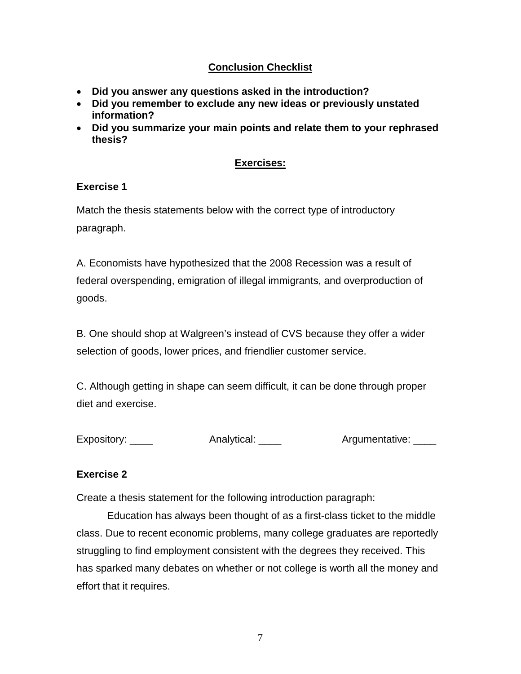# **Conclusion Checklist**

- **Did you answer any questions asked in the introduction?**
- **Did you remember to exclude any new ideas or previously unstated information?**
- **Did you summarize your main points and relate them to your rephrased thesis?**

## **Exercises:**

## **Exercise 1**

Match the thesis statements below with the correct type of introductory paragraph.

A. Economists have hypothesized that the 2008 Recession was a result of federal overspending, emigration of illegal immigrants, and overproduction of goods.

B. One should shop at Walgreen's instead of CVS because they offer a wider selection of goods, lower prices, and friendlier customer service.

C. Although getting in shape can seem difficult, it can be done through proper diet and exercise.

Expository: \_\_\_\_ Analytical: \_\_\_\_ Argumentative: \_\_\_

# **Exercise 2**

Create a thesis statement for the following introduction paragraph:

Education has always been thought of as a first-class ticket to the middle class. Due to recent economic problems, many college graduates are reportedly struggling to find employment consistent with the degrees they received. This has sparked many debates on whether or not college is worth all the money and effort that it requires.